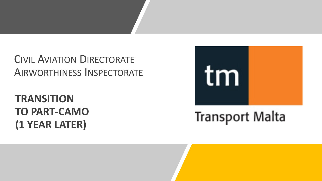## CIVIL AVIATION DIRECTORATE AIRWORTHINESS INSPECTORATE

# **TRANSITION TO PART-CAMO (1 YEAR LATER)**



# **Transport Malta**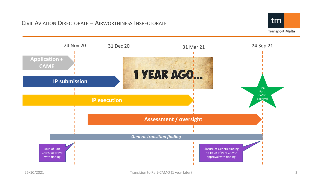

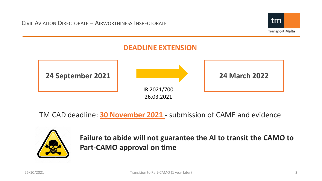



TM CAD deadline: **30 November 2021 -** submission of CAME and evidence



**Failure to abide will not guarantee the AI to transit the CAMO to Part-CAMO approval on time**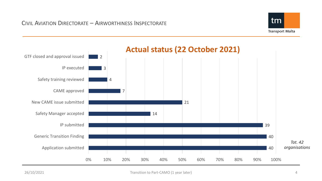

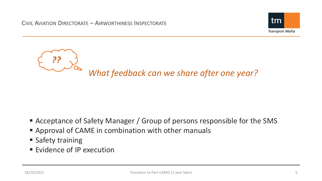



- Acceptance of Safety Manager / Group of persons responsible for the SMS
- Approval of CAME in combination with other manuals
- **Safety training**
- **Evidence of IP execution**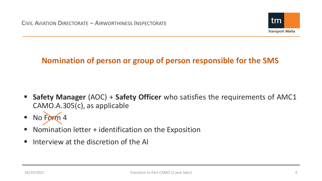

## **Nomination of person or group of person responsible for the SMS**

- **Safety Manager** (AOC) + **Safety Officer** who satisfies the requirements of AMC1 CAMO.A.305(c), as applicable
- No Form 4
- Nomination letter + identification on the Exposition
- $\blacksquare$  Interview at the discretion of the AI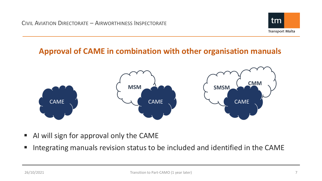

#### **Approval of CAME in combination with other organisation manuals**



- AI will sign for approval only the CAME
- **Integrating manuals revision status to be included and identified in the CAME**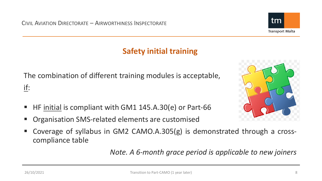

The combination of different training modules is acceptable, if:

- HF initial is compliant with GM1 145.A.30(e) or Part-66
- Organisation SMS-related elements are customised
- Coverage of syllabus in GM2 CAMO.A.305(g) is demonstrated through a crosscompliance table

*Note. A 6-month grace period is applicable to new joiners*



tm

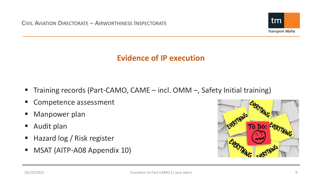

### **Evidence of IP execution**

- Training records (Part-CAMO, CAME incl. OMM –, Safety Initial training)
- **Competence assessment**
- **Manpower plan**
- Audit plan
- Hazard log / Risk register
- **MSAT (AITP-A08 Appendix 10)**

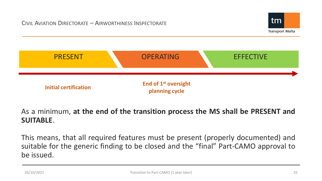



#### As a minimum, **at the end of the transition process the MS shall be PRESENT and SUITABLE**.

This means, that all required features must be present (properly documented) and suitable for the generic finding to be closed and the "final" Part-CAMO approval to be issued.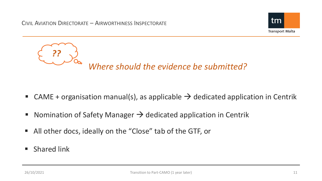



- CAME + organisation manual(s), as applicable  $\rightarrow$  dedicated application in Centrik
- Nomination of Safety Manager  $\rightarrow$  dedicated application in Centrik
- All other docs, ideally on the "Close" tab of the GTF, or
- **Shared link**